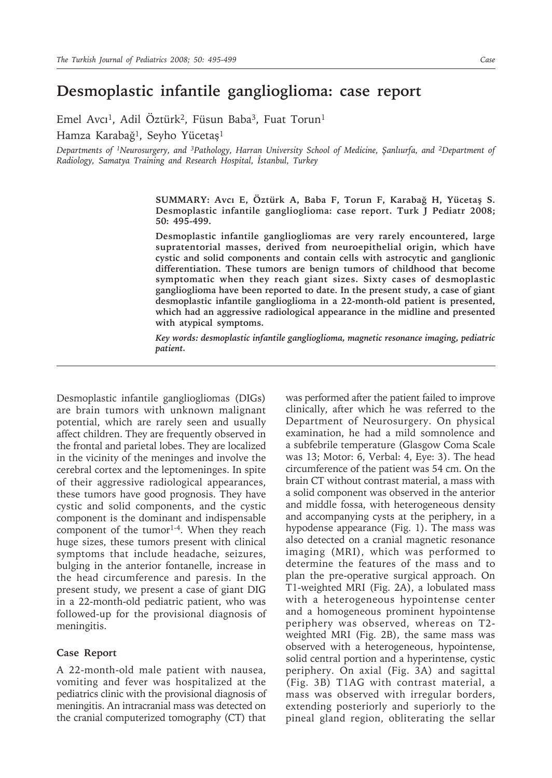## **Desmoplastic infantile ganglioglioma: case report**

Emel Avcı<sup>1</sup>, Adil Öztürk<sup>2</sup>, Füsun Baba<sup>3</sup>, Fuat Torun<sup>1</sup> Hamza Karabağ1, Seyho Yücetaş1

*Departments of 1Neurosurgery, and 3Pathology, Harran University School of Medicine, Şanlıurfa, and 2Department of Radiology, Samatya Training and Research Hospital, İstanbul, Turkey*

> **SUMMARY: Avcı E, Öztürk A, Baba F, Torun F, Karabağ H, Yücetaş S. Desmoplastic infantile ganglioglioma: case report. Turk J Pediatr 2008; 50: 495-499.**

> **Desmoplastic infantile gangliogliomas are very rarely encountered, large supratentorial masses, derived from neuroepithelial origin, which have cystic and solid components and contain cells with astrocytic and ganglionic differentiation. These tumors are benign tumors of childhood that become symptomatic when they reach giant sizes. Sixty cases of desmoplastic ganglioglioma have been reported to date. In the present study, a case of giant desmoplastic infantile ganglioglioma in a 22-month-old patient is presented, which had an aggressive radiological appearance in the midline and presented with atypical symptoms.**

> *Key words: desmoplastic infantile ganglioglioma, magnetic resonance imaging, pediatric patient.*

Desmoplastic infantile gangliogliomas (DIGs) are brain tumors with unknown malignant potential, which are rarely seen and usually affect children. They are frequently observed in the frontal and parietal lobes. They are localized in the vicinity of the meninges and involve the cerebral cortex and the leptomeninges. In spite of their aggressive radiological appearances, these tumors have good prognosis. They have cystic and solid components, and the cystic component is the dominant and indispensable component of the tumor<sup>1-4</sup>. When they reach huge sizes, these tumors present with clinical symptoms that include headache, seizures, bulging in the anterior fontanelle, increase in the head circumference and paresis. In the present study, we present a case of giant DIG in a 22-month-old pediatric patient, who was followed-up for the provisional diagnosis of meningitis.

## **Case Report**

A 22-month-old male patient with nausea, vomiting and fever was hospitalized at the pediatrics clinic with the provisional diagnosis of meningitis. An intracranial mass was detected on the cranial computerized tomography (CT) that

was performed after the patient failed to improve clinically, after which he was referred to the Department of Neurosurgery. On physical examination, he had a mild somnolence and a subfebrile temperature (Glasgow Coma Scale was 13; Motor: 6, Verbal: 4, Eye: 3). The head circumference of the patient was 54 cm. On the brain CT without contrast material, a mass with a solid component was observed in the anterior and middle fossa, with heterogeneous density and accompanying cysts at the periphery, in a hypodense appearance (Fig. 1). The mass was also detected on a cranial magnetic resonance imaging (MRI), which was performed to determine the features of the mass and to plan the pre-operative surgical approach. On T1-weighted MRI (Fig. 2A), a lobulated mass with a heterogeneous hypointense center and a homogeneous prominent hypointense periphery was observed, whereas on T2 weighted MRI (Fig. 2B), the same mass was observed with a heterogeneous, hypointense, solid central portion and a hyperintense, cystic periphery. On axial (Fig. 3A) and sagittal (Fig. 3B) T1AG with contrast material, a mass was observed with irregular borders, extending posteriorly and superiorly to the pineal gland region, obliterating the sellar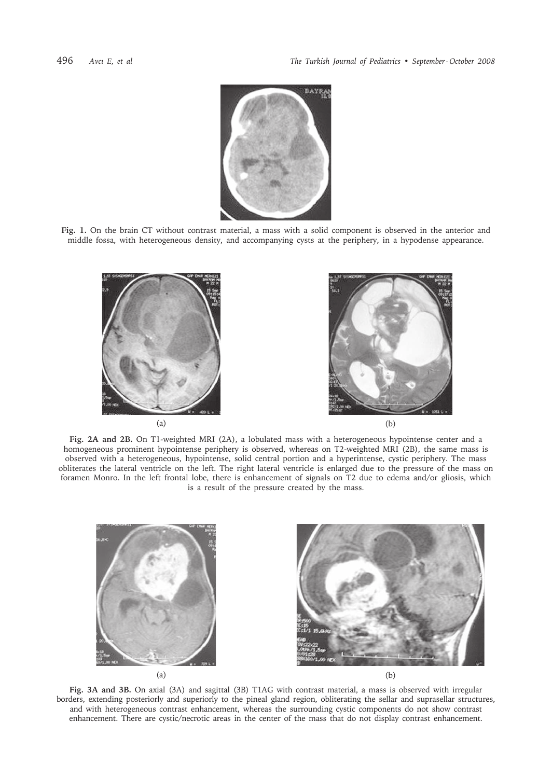

**Fig. 1.** On the brain CT without contrast material, a mass with a solid component is observed in the anterior and middle fossa, with heterogeneous density, and accompanying cysts at the periphery, in a hypodense appearance.



**Fig. 2A and 2B.** On T1-weighted MRI (2A), a lobulated mass with a heterogeneous hypointense center and a homogeneous prominent hypointense periphery is observed, whereas on T2-weighted MRI (2B), the same mass is observed with a heterogeneous, hypointense, solid central portion and a hyperintense, cystic periphery. The mass obliterates the lateral ventricle on the left. The right lateral ventricle is enlarged due to the pressure of the mass on foramen Monro. In the left frontal lobe, there is enhancement of signals on T2 due to edema and/or gliosis, which is a result of the pressure created by the mass.



**Fig. 3A and 3B.** On axial (3A) and sagittal (3B) T1AG with contrast material, a mass is observed with irregular borders, extending posteriorly and superiorly to the pineal gland region, obliterating the sellar and suprasellar structures, and with heterogeneous contrast enhancement, whereas the surrounding cystic components do not show contrast enhancement. There are cystic/necrotic areas in the center of the mass that do not display contrast enhancement.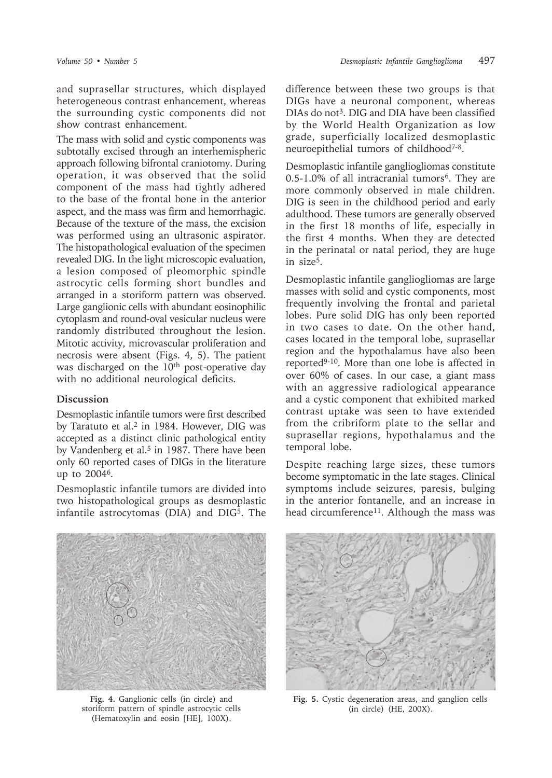and suprasellar structures, which displayed heterogeneous contrast enhancement, whereas the surrounding cystic components did not show contrast enhancement.

The mass with solid and cystic components was subtotally excised through an interhemispheric approach following bifrontal craniotomy. During operation, it was observed that the solid component of the mass had tightly adhered to the base of the frontal bone in the anterior aspect, and the mass was firm and hemorrhagic. Because of the texture of the mass, the excision was performed using an ultrasonic aspirator. The histopathological evaluation of the specimen revealed DIG. In the light microscopic evaluation, a lesion composed of pleomorphic spindle astrocytic cells forming short bundles and arranged in a storiform pattern was observed. Large ganglionic cells with abundant eosinophilic cytoplasm and round-oval vesicular nucleus were randomly distributed throughout the lesion. Mitotic activity, microvascular proliferation and necrosis were absent (Figs. 4, 5). The patient was discharged on the 10<sup>th</sup> post-operative day with no additional neurological deficits.

## **Discussion**

Desmoplastic infantile tumors were first described by Taratuto et al.<sup>2</sup> in 1984. However, DIG was accepted as a distinct clinic pathological entity by Vandenberg et al.<sup>5</sup> in 1987. There have been only 60 reported cases of DIGs in the literature up to 20046.

Desmoplastic infantile tumors are divided into two histopathological groups as desmoplastic infantile astrocytomas (DIA) and DIG<sup>5</sup>. The



**Fig. 4.** Ganglionic cells (in circle) and storiform pattern of spindle astrocytic cells (Hematoxylin and eosin [HE], 100X).

difference between these two groups is that DIGs have a neuronal component, whereas DIAs do not<sup>3</sup>. DIG and DIA have been classified by the World Health Organization as low grade, superficially localized desmoplastic neuroepithelial tumors of childhood7-8.

Desmoplastic infantile gangliogliomas constitute  $0.5-1.0\%$  of all intracranial tumors<sup>6</sup>. They are more commonly observed in male children. DIG is seen in the childhood period and early adulthood. These tumors are generally observed in the first 18 months of life, especially in the first 4 months. When they are detected in the perinatal or natal period, they are huge in size5.

Desmoplastic infantile gangliogliomas are large masses with solid and cystic components, most frequently involving the frontal and parietal lobes. Pure solid DIG has only been reported in two cases to date. On the other hand, cases located in the temporal lobe, suprasellar region and the hypothalamus have also been reported9-10. More than one lobe is affected in over 60% of cases. In our case, a giant mass with an aggressive radiological appearance and a cystic component that exhibited marked contrast uptake was seen to have extended from the cribriform plate to the sellar and suprasellar regions, hypothalamus and the temporal lobe.

Despite reaching large sizes, these tumors become symptomatic in the late stages. Clinical symptoms include seizures, paresis, bulging in the anterior fontanelle, and an increase in head circumference<sup>11</sup>. Although the mass was



**Fig. 5.** Cystic degeneration areas, and ganglion cells (in circle) (HE, 200X).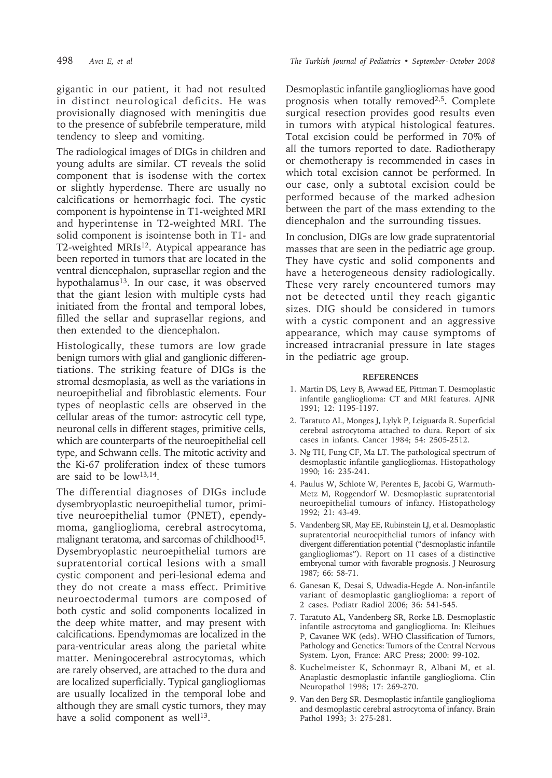gigantic in our patient, it had not resulted in distinct neurological deficits. He was provisionally diagnosed with meningitis due to the presence of subfebrile temperature, mild tendency to sleep and vomiting.

The radiological images of DIGs in children and young adults are similar. CT reveals the solid component that is isodense with the cortex or slightly hyperdense. There are usually no calcifications or hemorrhagic foci. The cystic component is hypointense in T1-weighted MRI and hyperintense in T2-weighted MRI. The solid component is isointense both in T1- and T2-weighted MRIs<sup>12</sup>. Atypical appearance has been reported in tumors that are located in the ventral diencephalon, suprasellar region and the hypothalamus<sup>13</sup>. In our case, it was observed that the giant lesion with multiple cysts had initiated from the frontal and temporal lobes, filled the sellar and suprasellar regions, and then extended to the diencephalon.

Histologically, these tumors are low grade benign tumors with glial and ganglionic differentiations. The striking feature of DIGs is the stromal desmoplasia, as well as the variations in neuroepithelial and fibroblastic elements. Four types of neoplastic cells are observed in the cellular areas of the tumor: astrocytic cell type, neuronal cells in different stages, primitive cells, which are counterparts of the neuroepithelial cell type, and Schwann cells. The mitotic activity and the Ki-67 proliferation index of these tumors are said to be low13,14.

The differential diagnoses of DIGs include dysembryoplastic neuroepithelial tumor, primitive neuroepithelial tumor (PNET), ependymoma, ganglioglioma, cerebral astrocytoma, malignant teratoma, and sarcomas of childhood<sup>15</sup>. Dysembryoplastic neuroepithelial tumors are supratentorial cortical lesions with a small cystic component and peri-lesional edema and they do not create a mass effect. Primitive neuroectodermal tumors are composed of both cystic and solid components localized in the deep white matter, and may present with calcifications. Ependymomas are localized in the para-ventricular areas along the parietal white matter. Meningocerebral astrocytomas, which are rarely observed, are attached to the dura and are localized superficially. Typical gangliogliomas are usually localized in the temporal lobe and although they are small cystic tumors, they may have a solid component as well $13$ .

Desmoplastic infantile gangliogliomas have good prognosis when totally removed<sup>2,5</sup>. Complete surgical resection provides good results even in tumors with atypical histological features. Total excision could be performed in 70% of all the tumors reported to date. Radiotherapy or chemotherapy is recommended in cases in which total excision cannot be performed. In our case, only a subtotal excision could be performed because of the marked adhesion between the part of the mass extending to the diencephalon and the surrounding tissues.

In conclusion, DIGs are low grade supratentorial masses that are seen in the pediatric age group. They have cystic and solid components and have a heterogeneous density radiologically. These very rarely encountered tumors may not be detected until they reach gigantic sizes. DIG should be considered in tumors with a cystic component and an aggressive appearance, which may cause symptoms of increased intracranial pressure in late stages in the pediatric age group.

## **REFERENCES**

- 1. Martin DS, Levy B, Awwad EE, Pittman T. Desmoplastic infantile ganglioglioma: CT and MRI features. AJNR 1991; 12: 1195-1197.
- 2. Taratuto AL, Monges J, Lylyk P, Leiguarda R. Superficial cerebral astrocytoma attached to dura. Report of six cases in infants. Cancer 1984; 54: 2505-2512.
- 3. Ng TH, Fung CF, Ma LT. The pathological spectrum of desmoplastic infantile gangliogliomas. Histopathology 1990; 16: 235-241.
- 4. Paulus W, Schlote W, Perentes E, Jacobi G, Warmuth-Metz M, Roggendorf W. Desmoplastic supratentorial neuroepithelial tumours of infancy. Histopathology 1992; 21: 43-49.
- 5. Vandenberg SR, May EE, Rubinstein LJ, et al. Desmoplastic supratentorial neuroepithelial tumors of infancy with divergent differentiation potential ("desmoplastic infantile gangliogliomas"). Report on 11 cases of a distinctive embryonal tumor with favorable prognosis. J Neurosurg 1987; 66: 58-71.
- 6. Ganesan K, Desai S, Udwadia-Hegde A. Non-infantile variant of desmoplastic ganglioglioma: a report of 2 cases. Pediatr Radiol 2006; 36: 541-545.
- 7. Taratuto AL, Vandenberg SR, Rorke LB. Desmoplastic infantile astrocytoma and ganglioglioma. In: Kleihues P, Cavanee WK (eds). WHO Classification of Tumors, Pathology and Genetics: Tumors of the Central Nervous System. Lyon, France: ARC Press; 2000: 99-102.
- 8. Kuchelmeister K, Schonmayr R, Albani M, et al. Anaplastic desmoplastic infantile ganglioglioma. Clin Neuropathol 1998; 17: 269-270.
- 9. Van den Berg SR. Desmoplastic infantile ganglioglioma and desmoplastic cerebral astrocytoma of infancy. Brain Pathol 1993; 3: 275-281.